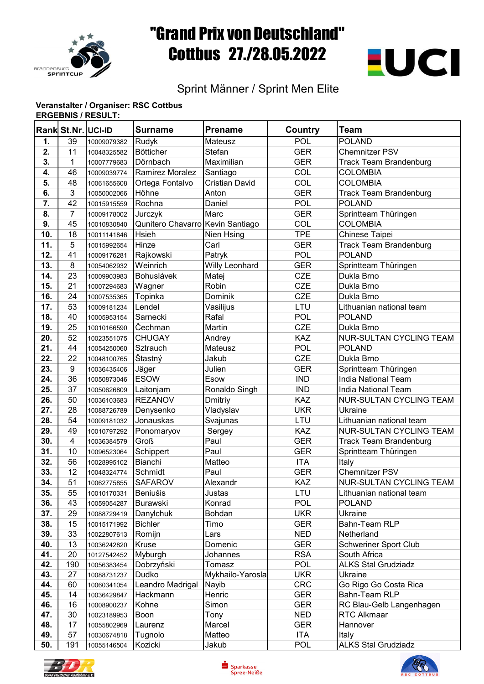

## "Grand Prix von Deutschland" Cottbus 27./28.05.2022



## Sprint Männer / Sprint Men Elite

## Veranstalter / Organiser: RSC Cottbus ERGEBNIS / RESULT:

|     | Rank St.Nr. UCI-ID      |             | <b>Surname</b>                   | Prename               | Country    | <b>Team</b>                    |
|-----|-------------------------|-------------|----------------------------------|-----------------------|------------|--------------------------------|
| 1.  | 39                      | 10009079382 | Rudyk                            | <b>Mateusz</b>        | POL        | <b>POLAND</b>                  |
| 2.  | 11                      | 10048325582 | Bötticher                        | Stefan                | <b>GER</b> | <b>Chemnitzer PSV</b>          |
| 3.  | 1                       | 10007779683 | Dörnbach                         | Maximilian            | <b>GER</b> | <b>Track Team Brandenburg</b>  |
| 4.  | 46                      | 10009039774 | Ramirez Moralez                  | Santiago              | COL        | <b>COLOMBIA</b>                |
| 5.  | 48                      | 10061655608 | Ortega Fontalvo                  | <b>Cristian David</b> | COL        | <b>COLOMBIA</b>                |
| 6.  | 3                       | 10050002066 | Höhne                            | Anton                 | <b>GER</b> | <b>Track Team Brandenburg</b>  |
| 7.  | 42                      | 10015915559 | Rochna                           | Daniel                | <b>POL</b> | <b>POLAND</b>                  |
| 8.  | $\overline{7}$          | 10009178002 | Jurczyk                          | Marc                  | <b>GER</b> | Sprintteam Thüringen           |
| 9.  | 45                      | 10010830840 | Qunitero Chavarro Kevin Santiago |                       | COL        | <b>COLOMBIA</b>                |
| 10. | 18                      | 10011141846 | Hsieh                            | Nien Hsing            | <b>TPE</b> | Chinese Taipei                 |
| 11. | 5                       | 10015992654 | Hinze                            | Carl                  | <b>GER</b> | <b>Track Team Brandenburg</b>  |
| 12. | 41                      | 10009176281 | Rajkowski                        | Patryk                | POL        | POLAND                         |
| 13. | 8                       | 10054062932 | Weinrich                         | Willy Leonhard        | <b>GER</b> | Sprintteam Thüringen           |
| 14. | 23                      | 10009903983 | <b>Bohuslávek</b>                | Matej                 | <b>CZE</b> | Dukla Brno                     |
| 15. | 21                      | 10007294683 | Wagner                           | Robin                 | <b>CZE</b> | Dukla Brno                     |
| 16. | 24                      | 10007535365 | Topinka                          | <b>Dominik</b>        | <b>CZE</b> | Dukla Brno                     |
| 17. | 53                      | 10009181234 | Lendel                           | Vasilijus             | LTU        | Lithuanian national team       |
| 18. | 40                      | 10005953154 | Sarnecki                         | Rafal                 | POL        | POLAND                         |
| 19. | 25                      | 10010166590 | Čechman                          | Martin                | <b>CZE</b> | Dukla Brno                     |
| 20. | 52                      | 10023551075 | <b>CHUGAY</b>                    | Andrey                | <b>KAZ</b> | <b>NUR-SULTAN CYCLING TEAM</b> |
| 21. | 44                      | 10054250060 | Sztrauch                         | Mateusz               | POL        | <b>POLAND</b>                  |
| 22. | 22                      | 10048100765 | Štastný                          | Jakub                 | <b>CZE</b> | Dukla Brno                     |
| 23. | 9                       | 10036435406 | Jäger                            | Julien                | <b>GER</b> | Sprintteam Thüringen           |
| 24. | 36                      | 10050873046 | <b>ESOW</b>                      | Esow                  | <b>IND</b> | India National Team            |
| 25. | 37                      | 10050626809 | Laitonjam                        | Ronaldo Singh         | <b>IND</b> | India National Team            |
| 26. | 50                      | 10036103683 | <b>REZANOV</b>                   | Dmitriy               | <b>KAZ</b> | <b>NUR-SULTAN CYCLING TEAM</b> |
| 27. | 28                      | 10088726789 | Denysenko                        | Vladyslav             | <b>UKR</b> | Ukraine                        |
| 28. | 54                      | 10009181032 | Jonauskas                        | Svajunas              | LTU        | Lithuanian national team       |
| 29. | 49                      | 10010797292 | Ponomaryov                       | Sergey                | KAZ        | <b>NUR-SULTAN CYCLING TEAM</b> |
| 30. | $\overline{\mathbf{4}}$ | 10036384579 | <b>Groß</b>                      | Paul                  | <b>GER</b> | <b>Track Team Brandenburg</b>  |
| 31. | 10                      | 10096523064 | Schippert                        | Paul                  | <b>GER</b> | Sprintteam Thüringen           |
| 32. | 56                      | 10028995102 | Bianchi                          | Matteo                | <b>ITA</b> | Italy                          |
| 33. | 12                      | 10048324774 | Schmidt                          | Paul                  | <b>GER</b> | Chemnitzer PSV                 |
| 34. | 51                      | 10062775855 | <b>SAFAROV</b>                   | Alexandr              | KAZ        | NUR-SULTAN CYCLING TEAM        |
| 35. | 55                      | 10010170331 | <b>Beniušis</b>                  | Justas                | LTU        | Lithuanian national team       |
| 36. | 43                      | 10059054287 | <b>Burawski</b>                  | Konrad                | POL        | <b>POLAND</b>                  |
| 37. | 29                      | 10088729419 | Danylchuk                        | Bohdan                | <b>UKR</b> | Ukraine                        |
| 38. | 15                      | 10015171992 | <b>Bichler</b>                   | Timo                  | <b>GER</b> | Bahn-Team RLP                  |
| 39. | 33                      | 10022807613 | Romijn                           | Lars                  | <b>NED</b> | Netherland                     |
| 40. | 13                      | 10036242820 | Kruse                            | Domenic               | <b>GER</b> | <b>Schweriner Sport Club</b>   |
| 41. | 20                      | 10127542452 | Myburgh                          | Johannes              | <b>RSA</b> | South Africa                   |
| 42. | 190                     | 10056383454 | Dobrzyński                       | Tomasz                | <b>POL</b> | <b>ALKS Stal Grudziadz</b>     |
| 43. | 27                      | 10088731237 | Dudko                            | Mykhailo-Yarosla      | <b>UKR</b> | Ukraine                        |
| 44. | 60                      | 10060341054 | Leandro Madrigal                 | Nayib                 | <b>CRC</b> | Go Rigo Go Costa Rica          |
| 45. | 14                      | 10036429847 | Hackmann                         | Henric                | <b>GER</b> | Bahn-Team RLP                  |
| 46. | 16                      | 10008900237 | Kohne                            | Simon                 | <b>GER</b> | RC Blau-Gelb Langenhagen       |
| 47. | 30                      | 10023189953 | Boon                             | Tony                  | <b>NED</b> | <b>RTC Alkmaar</b>             |
| 48. | 17                      | 10055802969 | Laurenz                          | Marcel                | <b>GER</b> | Hannover                       |
| 49. | 57                      | 10030674818 | Tugnolo                          | Matteo                | <b>ITA</b> | Italy                          |
| 50. | 191                     | 10055146504 | Kozicki                          | Jakub                 | POL        | <b>ALKS Stal Grudziadz</b>     |